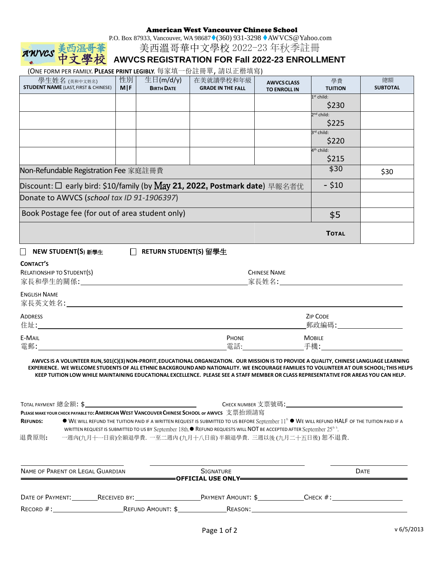#### American West Vancouver Chinese School

P.O. Box 87933, Vancouver, WA 98687♦(360) 931-3298♦ AW VCS@Yahoo.com

美西溫哥華中文學校 2022-23 年秋季註冊

# **AWVCS REGISTRATION FOR Fall 2022-23 ENROLLMENT**

總額 **SUBTOTAL**

| (ONE FORM PER FAMILY. PLEASE PRINT LEGIBLY. 每家填一份註冊單, 請以正楷填寫) |                  |                                |                                       |                                           |                       |
|---------------------------------------------------------------|------------------|--------------------------------|---------------------------------------|-------------------------------------------|-----------------------|
| 學生姓名 (英和中文姓名)<br><b>STUDENT NAME</b> (LAST, FIRST & CHINESE)  | 性別<br><b>MIF</b> | 生日(m/d/y)<br><b>BIRTH DATE</b> | 在美就讀學校和年級<br><b>GRADE IN THE FALL</b> | <b>AWVCS CLASS</b><br><b>TO ENROLL IN</b> | 學費<br><b>TUITION</b>  |
|                                                               |                  |                                |                                       |                                           | $1st$ child:<br>\$230 |
|                                                               |                  |                                |                                       |                                           | $2nd$ child.          |

|                                                                            |  |  |  |     | $2nd$ child:<br>\$225  |      |
|----------------------------------------------------------------------------|--|--|--|-----|------------------------|------|
|                                                                            |  |  |  |     | 3 <sup>rd</sup> child: |      |
|                                                                            |  |  |  |     | \$220                  |      |
|                                                                            |  |  |  |     | 4 <sup>th</sup> child: |      |
|                                                                            |  |  |  |     | \$215                  |      |
| Non-Refundable Registration Fee 家庭註冊費                                      |  |  |  |     | \$30                   | \$30 |
| Discount: □ early bird: \$10/family (by May 21, 2022, Postmark date) 早報名者优 |  |  |  |     | $-$ \$10               |      |
| Donate to AWVCS (school tax ID 91-1906397)                                 |  |  |  |     |                        |      |
| Book Postage fee (for out of area student only)                            |  |  |  | \$5 |                        |      |
|                                                                            |  |  |  |     | <b>TOTAL</b>           |      |

**NEW STUDENT(S)** 新學生 **RETURN STUDENT(S)** 留學生

| <b>LONTACT</b> |
|----------------|
|----------------|

AWVCS

| RELATIONSHIP TO STUDENT(S)<br>家長和學生的關係:<br><u> 1980 - Jan Samuel Barbara, martin da shekara 1980 - An tsara 1980 - An tsara 1980 - An tsara 1980 - An tsara</u> | <b>CHINESE NAME</b><br>_家長姓名:_ |                          |  |
|-----------------------------------------------------------------------------------------------------------------------------------------------------------------|--------------------------------|--------------------------|--|
| <b>ENGLISH NAME</b><br>家長英文姓名:                                                                                                                                  |                                |                          |  |
| <b>ADDRESS</b><br>住址:                                                                                                                                           |                                | <b>ZIP CODE</b><br>郵政編碼: |  |
| <b>E-MAIL</b><br>電郵:                                                                                                                                            | <b>PHONE</b><br>電話:            | <b>MOBILE</b><br>手機:     |  |

**AWVCS IS A VOLUNTEER RUN,501(C)(3)NON-PROFIT,EDUCATIONALORGANIZATION. OUR MISSIONIS TO PROVIDE A QUALITY, CHINESE LANGUAGE LEARNING** EXPERIENCE. WE WELCOME STUDENTS OF ALL ETHNIC BACKGROUND AND NATIONALITY. WE ENCOURAGE FAMILIES TO VOLUNTEER AT OUR SCHOOL; THIS HELPS KEEP TUITION LOW WHILE MAINTAINING EDUCATIONAL EXCELLENCE. PLEASE SEE A STAFF MEMBER OR CLASS REPRESENTATIVE FOR AREAS YOU CAN HELP.

|                                                                                                                                          | CHECK NUMBER 支票號碼:<br>TOTAL PAYMENT 總金額 <b>: \$</b>                                                                                                        |  |  |  |
|------------------------------------------------------------------------------------------------------------------------------------------|------------------------------------------------------------------------------------------------------------------------------------------------------------|--|--|--|
| PLEASE MAKE YOUR CHECK PAYABLE TO: AMERICAN WEST VANCOUVER CHINESE SCHOOL or AWVCS 支票抬頭請寫                                                |                                                                                                                                                            |  |  |  |
| <b>REFUNDS:</b>                                                                                                                          | ● WE WILL REFUND THE TUITION PAID IF A WRITTEN REQUEST IS SUBMITTED TO US BEFORE September 11 <sup>th</sup> ● WE WILL REFUND HALF OF THE TUITION PAID IF A |  |  |  |
| WRITTEN REQUEST IS SUBMITTED TO US BY September 18th. $\bullet$ REFUND REQUESTS WILL NOT BE ACCEPTED AFTER September $25^{\text{th}}$ h. |                                                                                                                                                            |  |  |  |
| 退費原則:                                                                                                                                    | 一週内(九月十一日前)全額退學費. 一至二週內 (九月十八日前) 半額退學費. 三週以後 (九月二十五日後) 恕不退費.                                                                                               |  |  |  |

| NAME OF PARENT OR LEGAL GUARDIAN |                                                                                                                                                                                                                                | SIGNATURE<br>=OFFICIAL USE ONLY======== |              | <b>DATE</b> |  |
|----------------------------------|--------------------------------------------------------------------------------------------------------------------------------------------------------------------------------------------------------------------------------|-----------------------------------------|--------------|-------------|--|
| DATE OF PAYMENT:                 | RECEIVED BY: The contract of the contract of the contract of the contract of the contract of the contract of the contract of the contract of the contract of the contract of the contract of the contract of the contract of t | PAYMENT AMOUNT: \$                      | Снеск $\#$ : |             |  |
| $\sf RECORD$ $\#$ :              | REFUND AMOUNT: \$                                                                                                                                                                                                              | Reason:                                 |              |             |  |